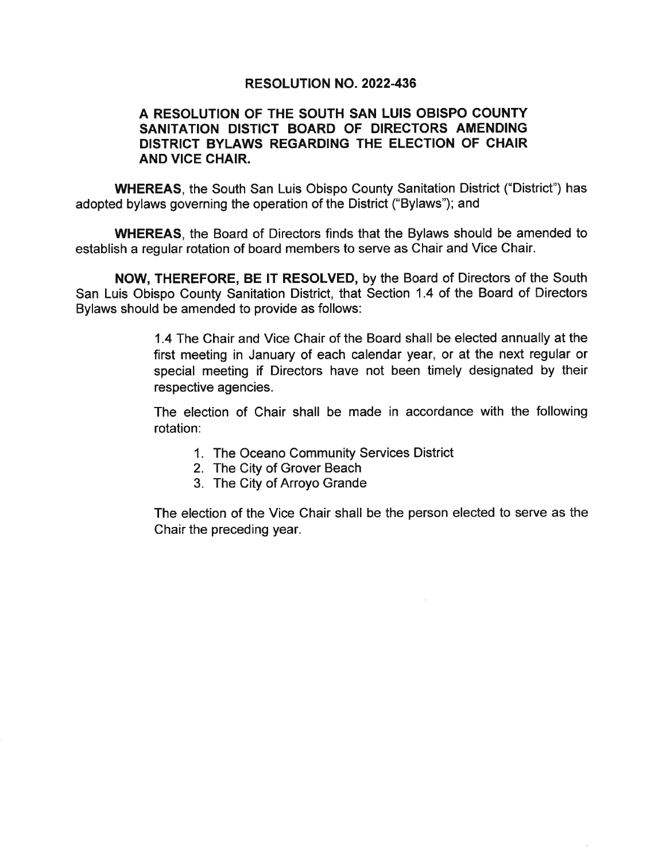# **RESOLUTION NO. 2022-436**

# A RESOLUTION OF THE SOUTH SAN LUIS OBISPO COUNTY SANITATION DISTICT BOARD OF DIRECTORS AMENDING DISTRICT BYLAWS REGARDING THE ELECTION OF CHAIR AND VICE CHAIR.

**WHEREAS.** the South San Luis Obispo County Sanitation District ("District") has adopted bylaws governing the operation of the District ("Bylaws"); and

**WHEREAS, the Board of Directors finds that the Bylaws should be amended to** establish a regular rotation of board members to serve as Chair and Vice Chair.

NOW, THEREFORE, BE IT RESOLVED, by the Board of Directors of the South San Luis Obispo County Sanitation District, that Section 1.4 of the Board of Directors Bylaws should be amended to provide as follows:

> 1.4 The Chair and Vice Chair of the Board shall be elected annually at the first meeting in January of each calendar year, or at the next regular or special meeting if Directors have not been timely designated by their respective agencies.

> The election of Chair shall be made in accordance with the following rotation:

- 1. The Oceano Community Services District
- 2. The City of Grover Beach
- 3. The City of Arroyo Grande

The election of the Vice Chair shall be the person elected to serve as the Chair the preceding year.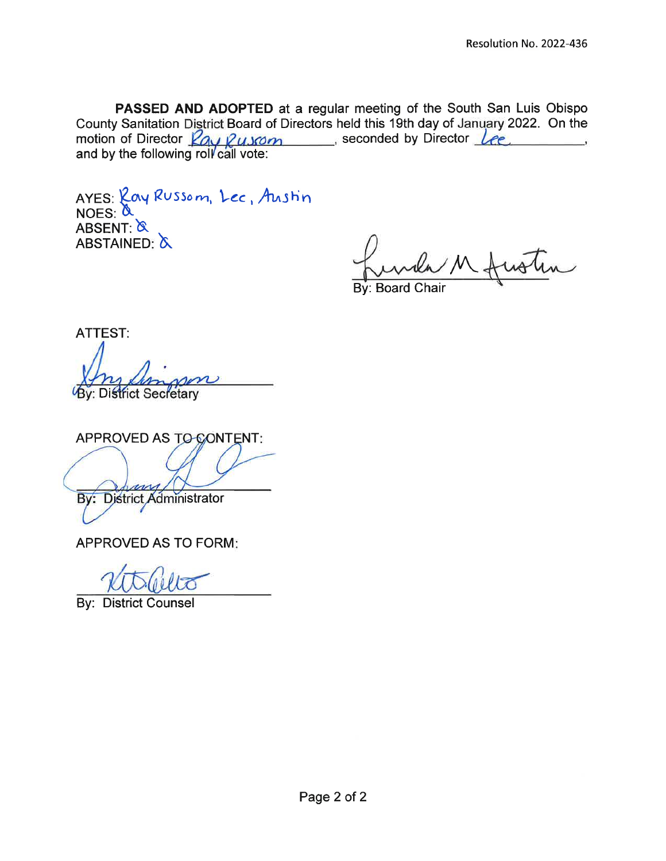PASSED AND ADOPTED at a regular meeting of the South San Luis Obispo County Sanitation District Board of Directors held this 19th day of January 2022. On the motion of Director Ray Russom seconded by Director Lee and by the following roll call vote:

AYES: Lay Russom, Lec, Austin  $NOES:  $\alpha$$ ABSENT: & ABSTAINED: A

**By: Board Chair** 

**ATTEST:** 

By: District Secretary

APPROVED AS TO CONTENT:

Bv: **District Administrator** 

**APPROVED AS TO FORM:** 

**By: District Counsel**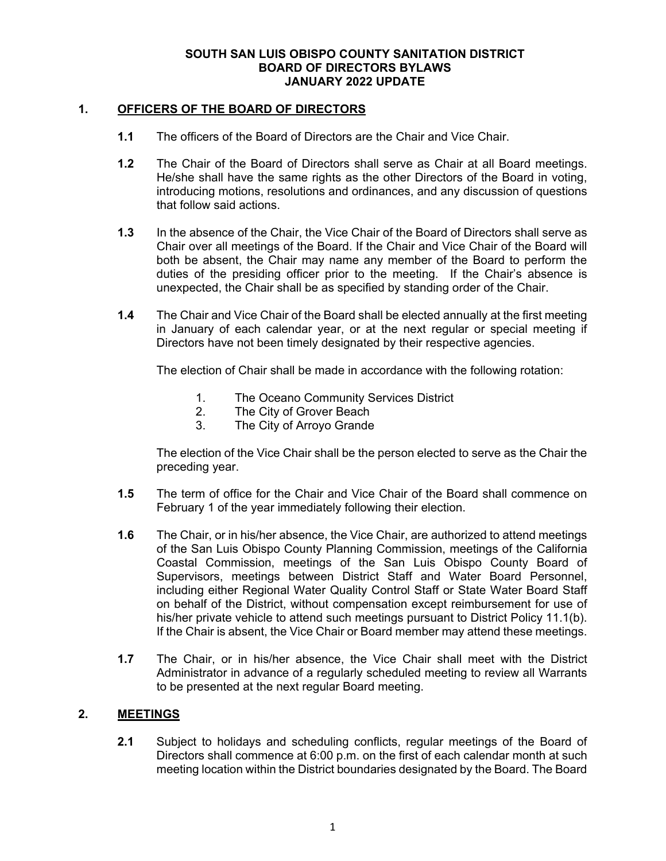### **1. OFFICERS OF THE BOARD OF DIRECTORS**

- **1.1** The officers of the Board of Directors are the Chair and Vice Chair.
- **1.2** The Chair of the Board of Directors shall serve as Chair at all Board meetings. He/she shall have the same rights as the other Directors of the Board in voting, introducing motions, resolutions and ordinances, and any discussion of questions that follow said actions.
- **1.3** In the absence of the Chair, the Vice Chair of the Board of Directors shall serve as Chair over all meetings of the Board. If the Chair and Vice Chair of the Board will both be absent, the Chair may name any member of the Board to perform the duties of the presiding officer prior to the meeting. If the Chair's absence is unexpected, the Chair shall be as specified by standing order of the Chair.
- **1.4** The Chair and Vice Chair of the Board shall be elected annually at the first meeting in January of each calendar year, or at the next regular or special meeting if Directors have not been timely designated by their respective agencies.

The election of Chair shall be made in accordance with the following rotation:

- 1. The Oceano Community Services District
- 2. The City of Grover Beach
- 3. The City of Arroyo Grande

The election of the Vice Chair shall be the person elected to serve as the Chair the preceding year.

- **1.5** The term of office for the Chair and Vice Chair of the Board shall commence on February 1 of the year immediately following their election.
- **1.6** The Chair, or in his/her absence, the Vice Chair, are authorized to attend meetings of the San Luis Obispo County Planning Commission, meetings of the California Coastal Commission, meetings of the San Luis Obispo County Board of Supervisors, meetings between District Staff and Water Board Personnel, including either Regional Water Quality Control Staff or State Water Board Staff on behalf of the District, without compensation except reimbursement for use of his/her private vehicle to attend such meetings pursuant to District Policy 11.1(b). If the Chair is absent, the Vice Chair or Board member may attend these meetings.
- **1.7** The Chair, or in his/her absence, the Vice Chair shall meet with the District Administrator in advance of a regularly scheduled meeting to review all Warrants to be presented at the next regular Board meeting.

#### **2. MEETINGS**

**2.1** Subject to holidays and scheduling conflicts, regular meetings of the Board of Directors shall commence at 6:00 p.m. on the first of each calendar month at such meeting location within the District boundaries designated by the Board. The Board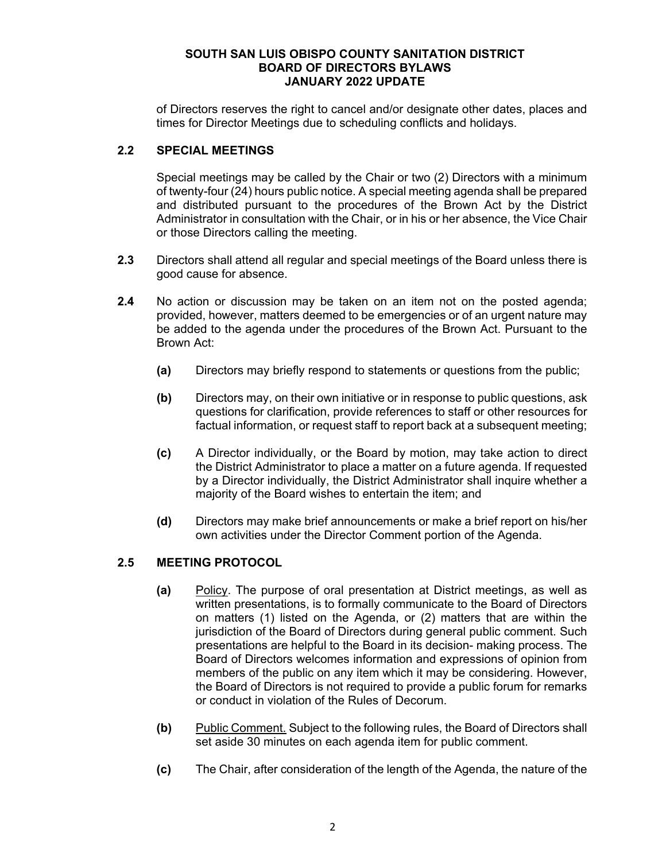of Directors reserves the right to cancel and/or designate other dates, places and times for Director Meetings due to scheduling conflicts and holidays.

# **2.2 SPECIAL MEETINGS**

Special meetings may be called by the Chair or two (2) Directors with a minimum of twenty-four (24) hours public notice. A special meeting agenda shall be prepared and distributed pursuant to the procedures of the Brown Act by the District Administrator in consultation with the Chair, or in his or her absence, the Vice Chair or those Directors calling the meeting.

- **2.3** Directors shall attend all regular and special meetings of the Board unless there is good cause for absence.
- **2.4** No action or discussion may be taken on an item not on the posted agenda; provided, however, matters deemed to be emergencies or of an urgent nature may be added to the agenda under the procedures of the Brown Act. Pursuant to the Brown Act:
	- **(a)** Directors may briefly respond to statements or questions from the public;
	- **(b)** Directors may, on their own initiative or in response to public questions, ask questions for clarification, provide references to staff or other resources for factual information, or request staff to report back at a subsequent meeting;
	- **(c)** A Director individually, or the Board by motion, may take action to direct the District Administrator to place a matter on a future agenda. If requested by a Director individually, the District Administrator shall inquire whether a majority of the Board wishes to entertain the item; and
	- **(d)** Directors may make brief announcements or make a brief report on his/her own activities under the Director Comment portion of the Agenda.

# **2.5 MEETING PROTOCOL**

- **(a)** Policy. The purpose of oral presentation at District meetings, as well as written presentations, is to formally communicate to the Board of Directors on matters (1) listed on the Agenda, or (2) matters that are within the jurisdiction of the Board of Directors during general public comment. Such presentations are helpful to the Board in its decision- making process. The Board of Directors welcomes information and expressions of opinion from members of the public on any item which it may be considering. However, the Board of Directors is not required to provide a public forum for remarks or conduct in violation of the Rules of Decorum.
- **(b)** Public Comment. Subject to the following rules, the Board of Directors shall set aside 30 minutes on each agenda item for public comment.
- **(c)** The Chair, after consideration of the length of the Agenda, the nature of the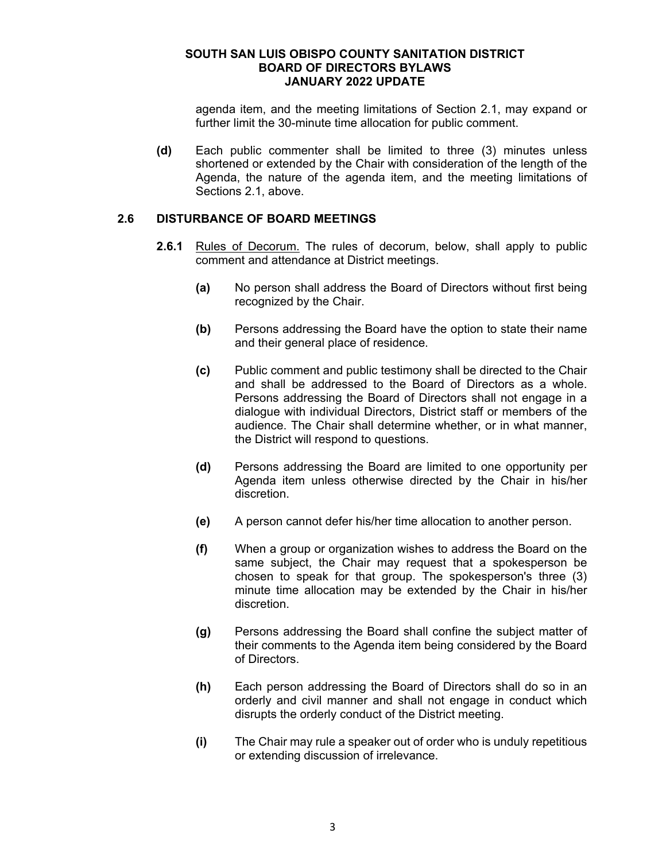agenda item, and the meeting limitations of Section 2.1, may expand or further limit the 30-minute time allocation for public comment.

**(d)** Each public commenter shall be limited to three (3) minutes unless shortened or extended by the Chair with consideration of the length of the Agenda, the nature of the agenda item, and the meeting limitations of Sections 2.1, above.

#### **2.6 DISTURBANCE OF BOARD MEETINGS**

- **2.6.1** Rules of Decorum. The rules of decorum, below, shall apply to public comment and attendance at District meetings.
	- **(a)** No person shall address the Board of Directors without first being recognized by the Chair.
	- **(b)** Persons addressing the Board have the option to state their name and their general place of residence.
	- **(c)** Public comment and public testimony shall be directed to the Chair and shall be addressed to the Board of Directors as a whole. Persons addressing the Board of Directors shall not engage in a dialogue with individual Directors, District staff or members of the audience. The Chair shall determine whether, or in what manner, the District will respond to questions.
	- **(d)** Persons addressing the Board are limited to one opportunity per Agenda item unless otherwise directed by the Chair in his/her discretion.
	- **(e)** A person cannot defer his/her time allocation to another person.
	- **(f)** When a group or organization wishes to address the Board on the same subject, the Chair may request that a spokesperson be chosen to speak for that group. The spokesperson's three (3) minute time allocation may be extended by the Chair in his/her discretion.
	- **(g)** Persons addressing the Board shall confine the subject matter of their comments to the Agenda item being considered by the Board of Directors.
	- **(h)** Each person addressing the Board of Directors shall do so in an orderly and civil manner and shall not engage in conduct which disrupts the orderly conduct of the District meeting.
	- **(i)** The Chair may rule a speaker out of order who is unduly repetitious or extending discussion of irrelevance.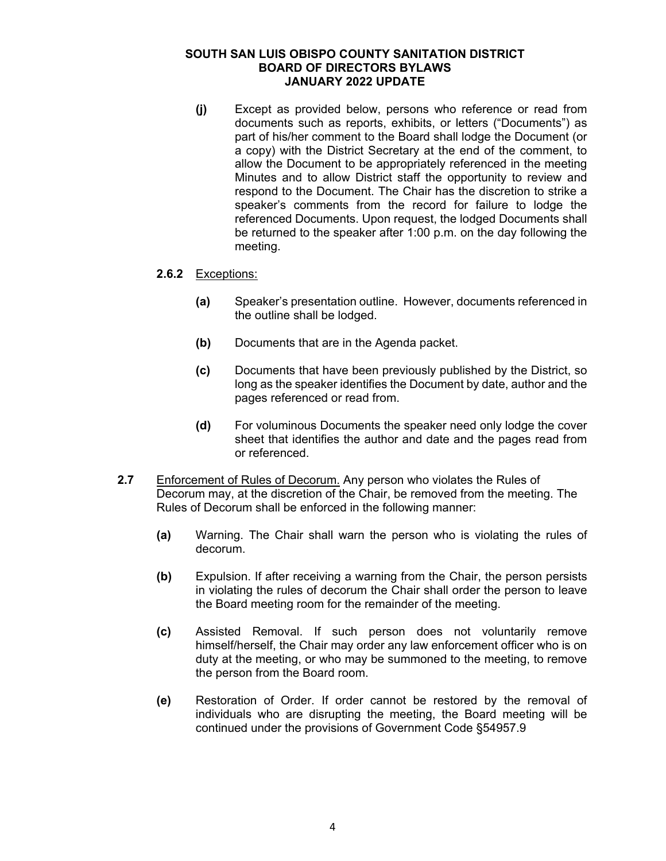**(j)** Except as provided below, persons who reference or read from documents such as reports, exhibits, or letters ("Documents") as part of his/her comment to the Board shall lodge the Document (or a copy) with the District Secretary at the end of the comment, to allow the Document to be appropriately referenced in the meeting Minutes and to allow District staff the opportunity to review and respond to the Document. The Chair has the discretion to strike a speaker's comments from the record for failure to lodge the referenced Documents. Upon request, the lodged Documents shall be returned to the speaker after 1:00 p.m. on the day following the meeting.

### **2.6.2** Exceptions:

- **(a)** Speaker's presentation outline. However, documents referenced in the outline shall be lodged.
- **(b)** Documents that are in the Agenda packet.
- **(c)** Documents that have been previously published by the District, so long as the speaker identifies the Document by date, author and the pages referenced or read from.
- **(d)** For voluminous Documents the speaker need only lodge the cover sheet that identifies the author and date and the pages read from or referenced.
- **2.7** Enforcement of Rules of Decorum. Any person who violates the Rules of Decorum may, at the discretion of the Chair, be removed from the meeting. The Rules of Decorum shall be enforced in the following manner:
	- **(a)** Warning. The Chair shall warn the person who is violating the rules of decorum.
	- **(b)** Expulsion. If after receiving a warning from the Chair, the person persists in violating the rules of decorum the Chair shall order the person to leave the Board meeting room for the remainder of the meeting.
	- **(c)** Assisted Removal. If such person does not voluntarily remove himself/herself, the Chair may order any law enforcement officer who is on duty at the meeting, or who may be summoned to the meeting, to remove the person from the Board room.
	- **(e)** Restoration of Order. If order cannot be restored by the removal of individuals who are disrupting the meeting, the Board meeting will be continued under the provisions of Government Code §54957.9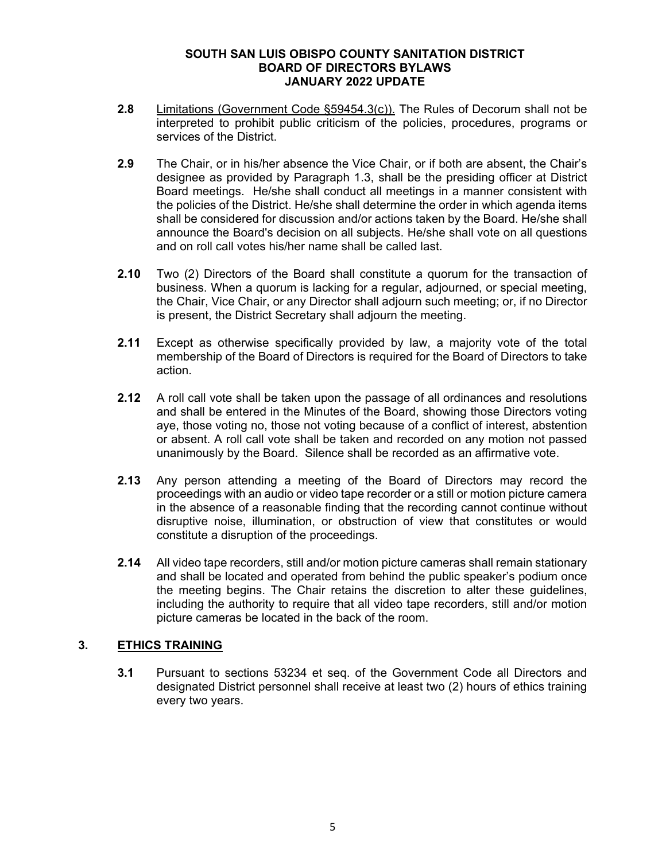- **2.8** Limitations (Government Code §59454.3(c)). The Rules of Decorum shall not be interpreted to prohibit public criticism of the policies, procedures, programs or services of the District.
- **2.9** The Chair, or in his/her absence the Vice Chair, or if both are absent, the Chair's designee as provided by Paragraph 1.3, shall be the presiding officer at District Board meetings. He/she shall conduct all meetings in a manner consistent with the policies of the District. He/she shall determine the order in which agenda items shall be considered for discussion and/or actions taken by the Board. He/she shall announce the Board's decision on all subjects. He/she shall vote on all questions and on roll call votes his/her name shall be called last.
- **2.10** Two (2) Directors of the Board shall constitute a quorum for the transaction of business. When a quorum is lacking for a regular, adjourned, or special meeting, the Chair, Vice Chair, or any Director shall adjourn such meeting; or, if no Director is present, the District Secretary shall adjourn the meeting.
- **2.11** Except as otherwise specifically provided by law, a majority vote of the total membership of the Board of Directors is required for the Board of Directors to take action.
- **2.12** A roll call vote shall be taken upon the passage of all ordinances and resolutions and shall be entered in the Minutes of the Board, showing those Directors voting aye, those voting no, those not voting because of a conflict of interest, abstention or absent. A roll call vote shall be taken and recorded on any motion not passed unanimously by the Board. Silence shall be recorded as an affirmative vote.
- **2.13** Any person attending a meeting of the Board of Directors may record the proceedings with an audio or video tape recorder or a still or motion picture camera in the absence of a reasonable finding that the recording cannot continue without disruptive noise, illumination, or obstruction of view that constitutes or would constitute a disruption of the proceedings.
- **2.14** All video tape recorders, still and/or motion picture cameras shall remain stationary and shall be located and operated from behind the public speaker's podium once the meeting begins. The Chair retains the discretion to alter these guidelines, including the authority to require that all video tape recorders, still and/or motion picture cameras be located in the back of the room.

# **3. ETHICS TRAINING**

**3.1** Pursuant to sections 53234 et seq. of the Government Code all Directors and designated District personnel shall receive at least two (2) hours of ethics training every two years.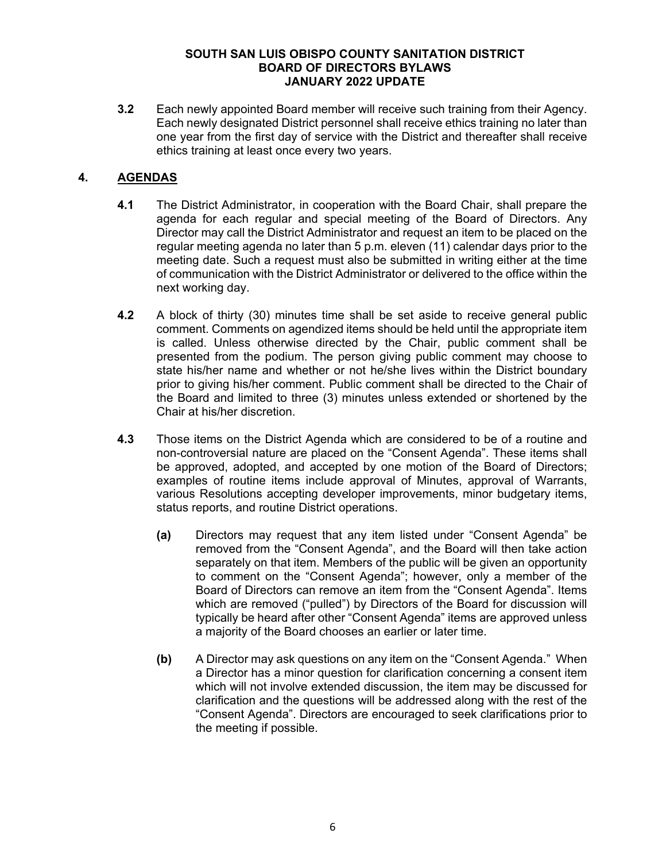**3.2** Each newly appointed Board member will receive such training from their Agency. Each newly designated District personnel shall receive ethics training no later than one year from the first day of service with the District and thereafter shall receive ethics training at least once every two years.

# **4. AGENDAS**

- **4.1** The District Administrator, in cooperation with the Board Chair, shall prepare the agenda for each regular and special meeting of the Board of Directors. Any Director may call the District Administrator and request an item to be placed on the regular meeting agenda no later than 5 p.m. eleven (11) calendar days prior to the meeting date. Such a request must also be submitted in writing either at the time of communication with the District Administrator or delivered to the office within the next working day.
- **4.2** A block of thirty (30) minutes time shall be set aside to receive general public comment. Comments on agendized items should be held until the appropriate item is called. Unless otherwise directed by the Chair, public comment shall be presented from the podium. The person giving public comment may choose to state his/her name and whether or not he/she lives within the District boundary prior to giving his/her comment. Public comment shall be directed to the Chair of the Board and limited to three (3) minutes unless extended or shortened by the Chair at his/her discretion.
- **4.3** Those items on the District Agenda which are considered to be of a routine and non-controversial nature are placed on the "Consent Agenda". These items shall be approved, adopted, and accepted by one motion of the Board of Directors; examples of routine items include approval of Minutes, approval of Warrants, various Resolutions accepting developer improvements, minor budgetary items, status reports, and routine District operations.
	- **(a)** Directors may request that any item listed under "Consent Agenda" be removed from the "Consent Agenda", and the Board will then take action separately on that item. Members of the public will be given an opportunity to comment on the "Consent Agenda"; however, only a member of the Board of Directors can remove an item from the "Consent Agenda". Items which are removed ("pulled") by Directors of the Board for discussion will typically be heard after other "Consent Agenda" items are approved unless a majority of the Board chooses an earlier or later time.
	- **(b)** A Director may ask questions on any item on the "Consent Agenda." When a Director has a minor question for clarification concerning a consent item which will not involve extended discussion, the item may be discussed for clarification and the questions will be addressed along with the rest of the "Consent Agenda". Directors are encouraged to seek clarifications prior to the meeting if possible.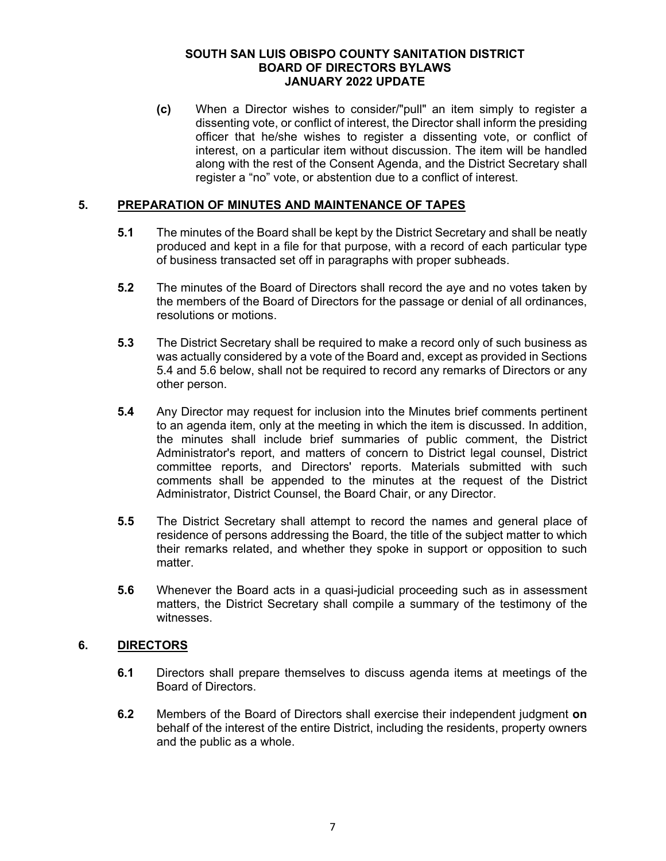**(c)** When a Director wishes to consider/"pull" an item simply to register a dissenting vote, or conflict of interest, the Director shall inform the presiding officer that he/she wishes to register a dissenting vote, or conflict of interest, on a particular item without discussion. The item will be handled along with the rest of the Consent Agenda, and the District Secretary shall register a "no" vote, or abstention due to a conflict of interest.

### **5. PREPARATION OF MINUTES AND MAINTENANCE OF TAPES**

- **5.1** The minutes of the Board shall be kept by the District Secretary and shall be neatly produced and kept in a file for that purpose, with a record of each particular type of business transacted set off in paragraphs with proper subheads.
- **5.2** The minutes of the Board of Directors shall record the aye and no votes taken by the members of the Board of Directors for the passage or denial of all ordinances, resolutions or motions.
- **5.3** The District Secretary shall be required to make a record only of such business as was actually considered by a vote of the Board and, except as provided in Sections 5.4 and 5.6 below, shall not be required to record any remarks of Directors or any other person.
- **5.4** Any Director may request for inclusion into the Minutes brief comments pertinent to an agenda item, only at the meeting in which the item is discussed. In addition, the minutes shall include brief summaries of public comment, the District Administrator's report, and matters of concern to District legal counsel, District committee reports, and Directors' reports. Materials submitted with such comments shall be appended to the minutes at the request of the District Administrator, District Counsel, the Board Chair, or any Director.
- **5.5** The District Secretary shall attempt to record the names and general place of residence of persons addressing the Board, the title of the subject matter to which their remarks related, and whether they spoke in support or opposition to such matter.
- **5.6** Whenever the Board acts in a quasi-judicial proceeding such as in assessment matters, the District Secretary shall compile a summary of the testimony of the witnesses.

# **6. DIRECTORS**

- **6.1** Directors shall prepare themselves to discuss agenda items at meetings of the Board of Directors.
- **6.2** Members of the Board of Directors shall exercise their independent judgment **on**  behalf of the interest of the entire District, including the residents, property owners and the public as a whole.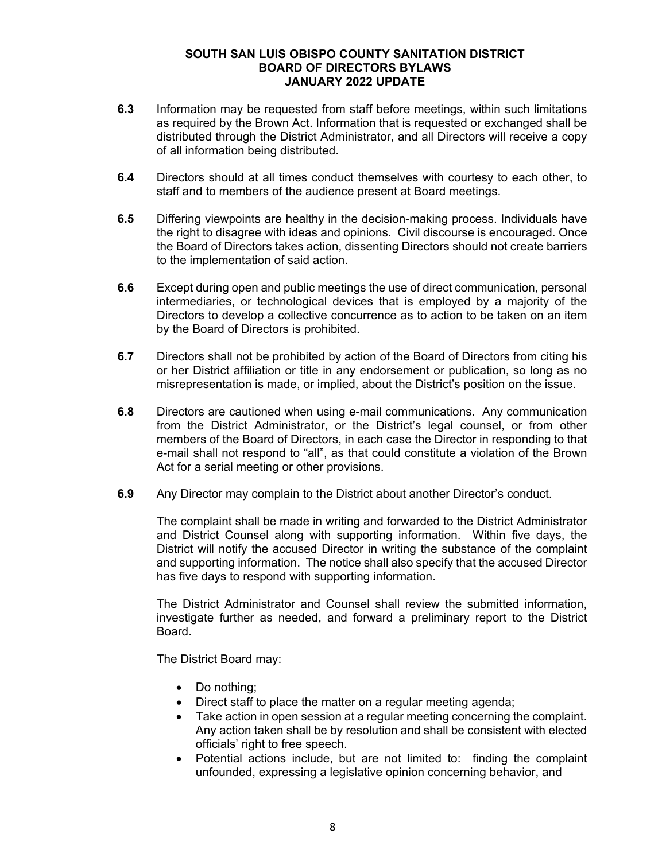- **6.3** Information may be requested from staff before meetings, within such limitations as required by the Brown Act. Information that is requested or exchanged shall be distributed through the District Administrator, and all Directors will receive a copy of all information being distributed.
- **6.4** Directors should at all times conduct themselves with courtesy to each other, to staff and to members of the audience present at Board meetings.
- **6.5** Differing viewpoints are healthy in the decision-making process. Individuals have the right to disagree with ideas and opinions. Civil discourse is encouraged. Once the Board of Directors takes action, dissenting Directors should not create barriers to the implementation of said action.
- **6.6** Except during open and public meetings the use of direct communication, personal intermediaries, or technological devices that is employed by a majority of the Directors to develop a collective concurrence as to action to be taken on an item by the Board of Directors is prohibited.
- **6.7** Directors shall not be prohibited by action of the Board of Directors from citing his or her District affiliation or title in any endorsement or publication, so long as no misrepresentation is made, or implied, about the District's position on the issue.
- **6.8** Directors are cautioned when using e-mail communications. Any communication from the District Administrator, or the District's legal counsel, or from other members of the Board of Directors, in each case the Director in responding to that e-mail shall not respond to "all", as that could constitute a violation of the Brown Act for a serial meeting or other provisions.
- **6.9** Any Director may complain to the District about another Director's conduct.

The complaint shall be made in writing and forwarded to the District Administrator and District Counsel along with supporting information. Within five days, the District will notify the accused Director in writing the substance of the complaint and supporting information. The notice shall also specify that the accused Director has five days to respond with supporting information.

The District Administrator and Counsel shall review the submitted information, investigate further as needed, and forward a preliminary report to the District Board.

The District Board may:

- Do nothing;
- Direct staff to place the matter on a regular meeting agenda;
- Take action in open session at a regular meeting concerning the complaint. Any action taken shall be by resolution and shall be consistent with elected officials' right to free speech.
- Potential actions include, but are not limited to: finding the complaint unfounded, expressing a legislative opinion concerning behavior, and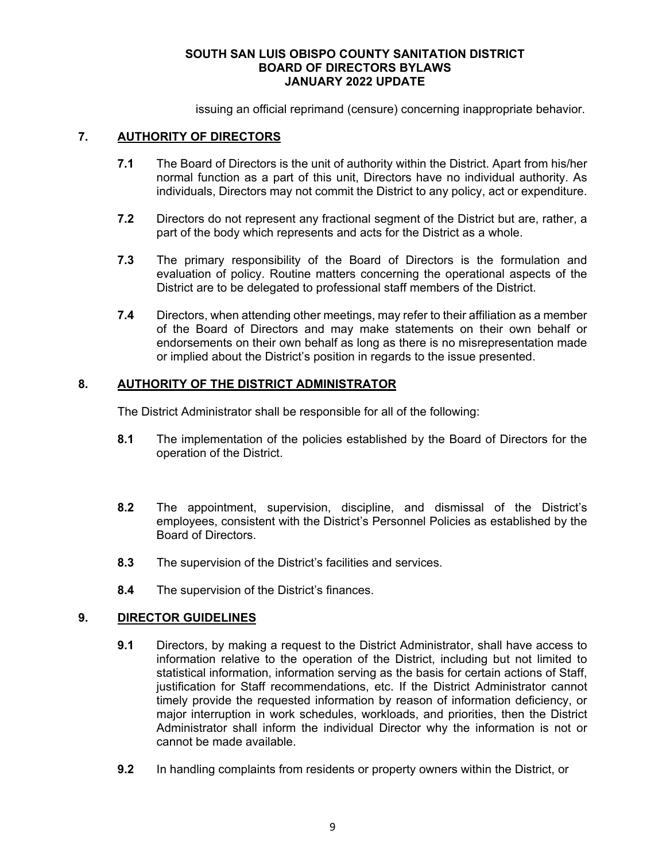issuing an official reprimand (censure) concerning inappropriate behavior.

### **7. AUTHORITY OF DIRECTORS**

- **7.1** The Board of Directors is the unit of authority within the District. Apart from his/her normal function as a part of this unit, Directors have no individual authority. As individuals, Directors may not commit the District to any policy, act or expenditure.
- **7.2** Directors do not represent any fractional segment of the District but are, rather, a part of the body which represents and acts for the District as a whole.
- **7.3** The primary responsibility of the Board of Directors is the formulation and evaluation of policy. Routine matters concerning the operational aspects of the District are to be delegated to professional staff members of the District.
- **7.4** Directors, when attending other meetings, may refer to their affiliation as a member of the Board of Directors and may make statements on their own behalf or endorsements on their own behalf as long as there is no misrepresentation made or implied about the District's position in regards to the issue presented.

# **8. AUTHORITY OF THE DISTRICT ADMINISTRATOR**

The District Administrator shall be responsible for all of the following:

- **8.1** The implementation of the policies established by the Board of Directors for the operation of the District.
- **8.2** The appointment, supervision, discipline, and dismissal of the District's employees, consistent with the District's Personnel Policies as established by the Board of Directors.
- **8.3** The supervision of the District's facilities and services.
- **8.4** The supervision of the District's finances.

#### **9. DIRECTOR GUIDELINES**

- **9.1** Directors, by making a request to the District Administrator, shall have access to information relative to the operation of the District, including but not limited to statistical information, information serving as the basis for certain actions of Staff, justification for Staff recommendations, etc. If the District Administrator cannot timely provide the requested information by reason of information deficiency, or major interruption in work schedules, workloads, and priorities, then the District Administrator shall inform the individual Director why the information is not or cannot be made available.
- **9.2** In handling complaints from residents or property owners within the District, or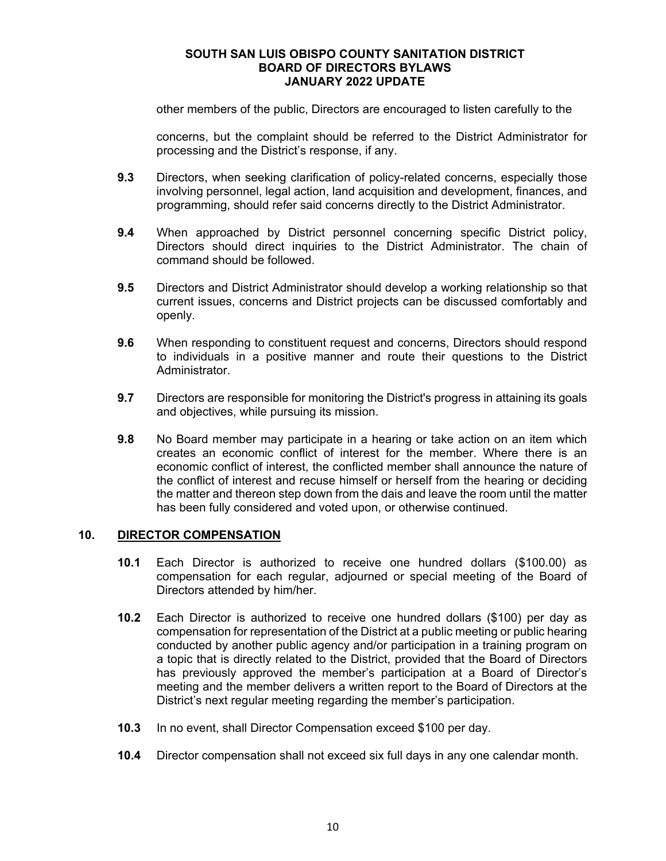other members of the public, Directors are encouraged to listen carefully to the

concerns, but the complaint should be referred to the District Administrator for processing and the District's response, if any.

- **9.3** Directors, when seeking clarification of policy-related concerns, especially those involving personnel, legal action, land acquisition and development, finances, and programming, should refer said concerns directly to the District Administrator.
- **9.4** When approached by District personnel concerning specific District policy, Directors should direct inquiries to the District Administrator. The chain of command should be followed.
- **9.5** Directors and District Administrator should develop a working relationship so that current issues, concerns and District projects can be discussed comfortably and openly.
- **9.6** When responding to constituent request and concerns, Directors should respond to individuals in a positive manner and route their questions to the District Administrator.
- **9.7** Directors are responsible for monitoring the District's progress in attaining its goals and objectives, while pursuing its mission.
- **9.8** No Board member may participate in a hearing or take action on an item which creates an economic conflict of interest for the member. Where there is an economic conflict of interest, the conflicted member shall announce the nature of the conflict of interest and recuse himself or herself from the hearing or deciding the matter and thereon step down from the dais and leave the room until the matter has been fully considered and voted upon, or otherwise continued.

#### **10. DIRECTOR COMPENSATION**

- **10.1** Each Director is authorized to receive one hundred dollars (\$100.00) as compensation for each regular, adjourned or special meeting of the Board of Directors attended by him/her.
- **10.2** Each Director is authorized to receive one hundred dollars (\$100) per day as compensation for representation of the District at a public meeting or public hearing conducted by another public agency and/or participation in a training program on a topic that is directly related to the District, provided that the Board of Directors has previously approved the member's participation at a Board of Director's meeting and the member delivers a written report to the Board of Directors at the District's next regular meeting regarding the member's participation.
- **10.3** In no event, shall Director Compensation exceed \$100 per day.
- **10.4** Director compensation shall not exceed six full days in any one calendar month.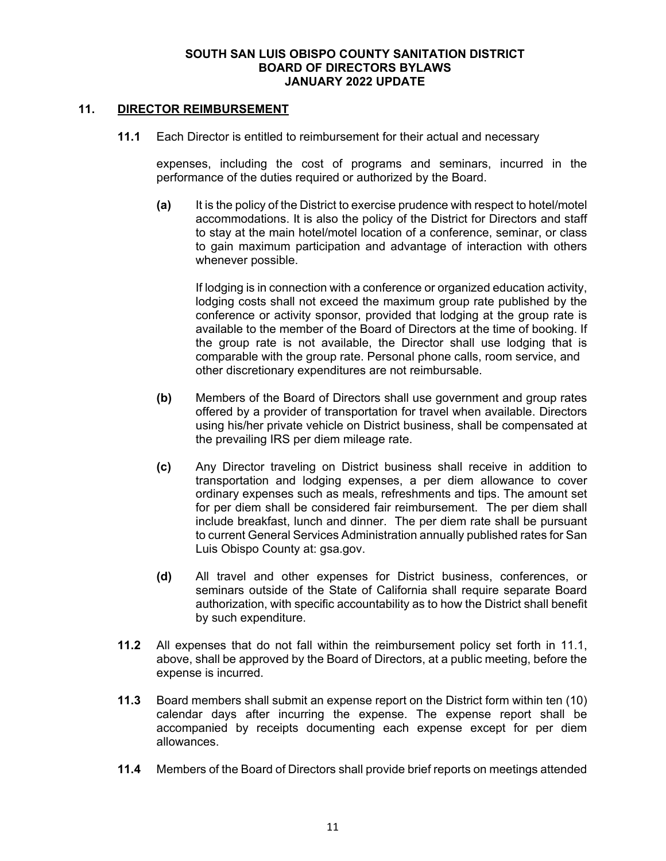### **11. DIRECTOR REIMBURSEMENT**

**11.1** Each Director is entitled to reimbursement for their actual and necessary

expenses, including the cost of programs and seminars, incurred in the performance of the duties required or authorized by the Board.

**(a)** It is the policy of the District to exercise prudence with respect to hotel/motel accommodations. It is also the policy of the District for Directors and staff to stay at the main hotel/motel location of a conference, seminar, or class to gain maximum participation and advantage of interaction with others whenever possible.

If lodging is in connection with a conference or organized education activity, lodging costs shall not exceed the maximum group rate published by the conference or activity sponsor, provided that lodging at the group rate is available to the member of the Board of Directors at the time of booking. If the group rate is not available, the Director shall use lodging that is comparable with the group rate. Personal phone calls, room service, and other discretionary expenditures are not reimbursable.

- **(b)** Members of the Board of Directors shall use government and group rates offered by a provider of transportation for travel when available. Directors using his/her private vehicle on District business, shall be compensated at the prevailing IRS per diem mileage rate.
- **(c)** Any Director traveling on District business shall receive in addition to transportation and lodging expenses, a per diem allowance to cover ordinary expenses such as meals, refreshments and tips. The amount set for per diem shall be considered fair reimbursement. The per diem shall include breakfast, lunch and dinner. The per diem rate shall be pursuant to current General Services Administration annually published rates for San Luis Obispo County at: gsa.gov.
- **(d)** All travel and other expenses for District business, conferences, or seminars outside of the State of California shall require separate Board authorization, with specific accountability as to how the District shall benefit by such expenditure.
- **11.2** All expenses that do not fall within the reimbursement policy set forth in 11.1, above, shall be approved by the Board of Directors, at a public meeting, before the expense is incurred.
- **11.3** Board members shall submit an expense report on the District form within ten (10) calendar days after incurring the expense. The expense report shall be accompanied by receipts documenting each expense except for per diem allowances.
- **11.4** Members of the Board of Directors shall provide brief reports on meetings attended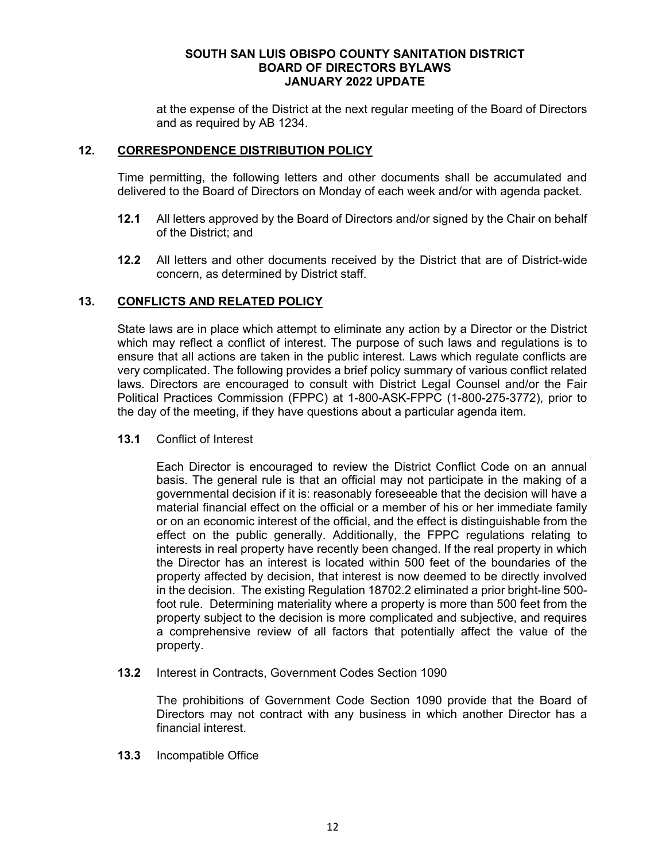at the expense of the District at the next regular meeting of the Board of Directors and as required by AB 1234.

### **12. CORRESPONDENCE DISTRIBUTION POLICY**

Time permitting, the following letters and other documents shall be accumulated and delivered to the Board of Directors on Monday of each week and/or with agenda packet.

- **12.1** All letters approved by the Board of Directors and/or signed by the Chair on behalf of the District; and
- **12.2** All letters and other documents received by the District that are of District-wide concern, as determined by District staff.

### **13. CONFLICTS AND RELATED POLICY**

State laws are in place which attempt to eliminate any action by a Director or the District which may reflect a conflict of interest. The purpose of such laws and regulations is to ensure that all actions are taken in the public interest. Laws which regulate conflicts are very complicated. The following provides a brief policy summary of various conflict related laws. Directors are encouraged to consult with District Legal Counsel and/or the Fair Political Practices Commission (FPPC) at 1-800-ASK-FPPC (1-800-275-3772), prior to the day of the meeting, if they have questions about a particular agenda item.

**13.1** Conflict of Interest

Each Director is encouraged to review the District Conflict Code on an annual basis. The general rule is that an official may not participate in the making of a governmental decision if it is: reasonably foreseeable that the decision will have a material financial effect on the official or a member of his or her immediate family or on an economic interest of the official, and the effect is distinguishable from the effect on the public generally. Additionally, the FPPC regulations relating to interests in real property have recently been changed. If the real property in which the Director has an interest is located within 500 feet of the boundaries of the property affected by decision, that interest is now deemed to be directly involved in the decision. The existing Regulation 18702.2 eliminated a prior bright-line 500 foot rule. Determining materiality where a property is more than 500 feet from the property subject to the decision is more complicated and subjective, and requires a comprehensive review of all factors that potentially affect the value of the property.

**13.2** Interest in Contracts, Government Codes Section 1090

The prohibitions of Government Code Section 1090 provide that the Board of Directors may not contract with any business in which another Director has a financial interest.

**13.3** Incompatible Office